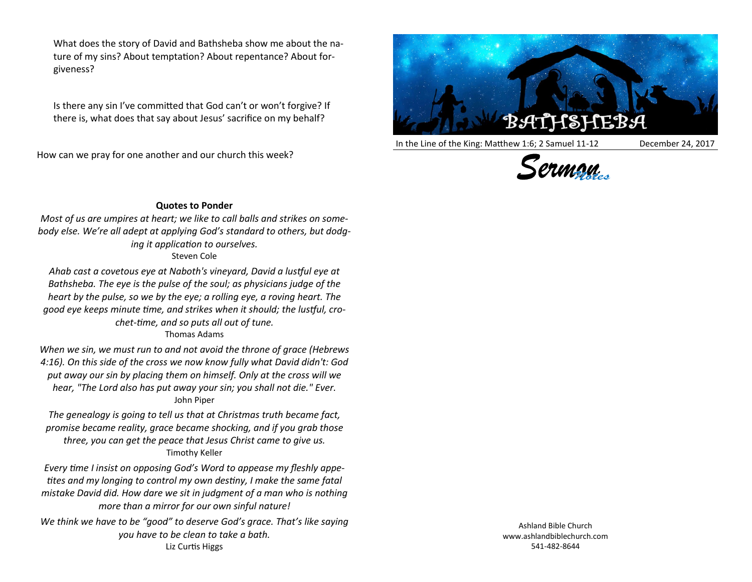What does the story of David and Bathsheba show me about the nature of my sins? About temptation? About repentance? About forgiveness?

Is there any sin I've committed that God can't or won't forgive? If there is, what does that say about Jesus' sacrifice on my behalf?

How can we pray for one another and our church this week?



In the Line of the King: Matthew 1:6; 2 Samuel 11-12 December 24, 2017





## **Quotes to Ponder**

*Most of us are umpires at heart; we like to call balls and strikes on somebody else. We're all adept at applying God's standard to others, but dodging it application to ourselves.*

Steven Cole

*Ahab cast a covetous eye at Naboth's vineyard, David a lustful eye at Bathsheba. The eye is the pulse of the soul; as physicians judge of the heart by the pulse, so we by the eye; a rolling eye, a roving heart. The good eye keeps minute time, and strikes when it should; the lustful, crochet-time, and so puts all out of tune.*

## Thomas Adams

*When we sin, we must run to and not avoid the throne of grace (Hebrews 4:16). On this side of the cross we now know fully what David didn't: God put away our sin by placing them on himself. Only at the cross will we hear, "The Lord also has put away your sin; you shall not die." Ever.* John Piper

*The genealogy is going to tell us that at Christmas truth became fact, promise became reality, grace became shocking, and if you grab those three, you can get the peace that Jesus Christ came to give us.* Timothy Keller

*Every time I insist on opposing God's Word to appease my fleshly appetites and my longing to control my own destiny, I make the same fatal mistake David did. How dare we sit in judgment of a man who is nothing more than a mirror for our own sinful nature!*

*We think we have to be "good" to deserve God's grace. That's like saying you have to be clean to take a bath.* Liz Curtis Higgs

Ashland Bible Church www.ashlandbiblechurch.com 541-482-8644